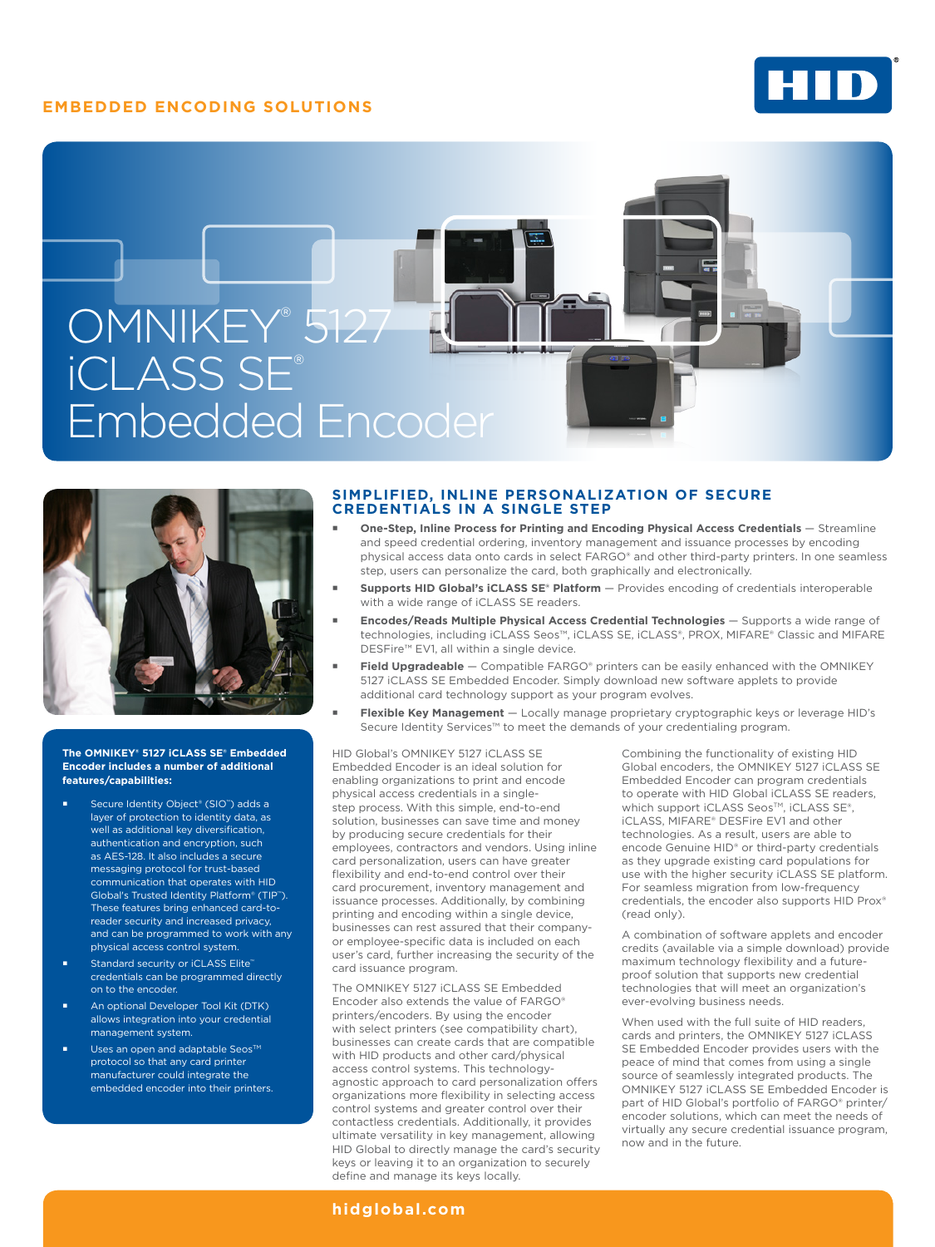# **EMBEDDED ENCODING SOLUTIONS**







#### **The OMNIKEY® 5127 iCLASS SE® Embedded Encoder includes a number of additional features/capabilities:**

- Secure Identity Object<sup>®</sup> (SIO<sup>™</sup>) adds a layer of protection to identity data, as well as additional key diversification, authentication and encryption, such as AES-128. It also includes a secure messaging protocol for trust-based communication that operates with HID Global's Trusted Identity Platform® (TIP™). These features bring enhanced card-toreader security and increased privacy, and can be programmed to work with any physical access control system.
- Standard security or iCLASS Elite™ credentials can be programmed directly on to the encoder.
- An optional Developer Tool Kit (DTK) allows integration into your credential management system.
- Uses an open and adaptable Seos™ protocol so that any card printer manufacturer could integrate the embedded encoder into their printers.

#### **SIMPLIFIED, INLINE PERSONALIZATION OF SECURE CREDENTIALS IN A SINGLE STEP**

- **One-Step, Inline Process for Printing and Encoding Physical Access Credentials** Streamline and speed credential ordering, inventory management and issuance processes by encoding physical access data onto cards in select FARGO® and other third-party printers. In one seamless step, users can personalize the card, both graphically and electronically.
- **Supports HID Global's iCLASS SE® Platform**  Provides encoding of credentials interoperable with a wide range of iCLASS SE readers.
- **Encodes/Reads Multiple Physical Access Credential Technologies**  Supports a wide range of technologies, including iCLASS Seos™, iCLASS SE, iCLASS®, PROX, MIFARE® Classic and MIFARE DESFire™ EV1, all within a single device.
- Field Upgradeable Compatible FARGO® printers can be easily enhanced with the OMNIKEY 5127 iCLASS SE Embedded Encoder. Simply download new software applets to provide additional card technology support as your program evolves.
- **Flexible Key Management**  Locally manage proprietary cryptographic keys or leverage HID's Secure Identity Services™ to meet the demands of your credentialing program.

HID Global's OMNIKEY 5127 iCLASS SE Embedded Encoder is an ideal solution for enabling organizations to print and encode physical access credentials in a singlestep process. With this simple, end-to-end solution, businesses can save time and money by producing secure credentials for their employees, contractors and vendors. Using inline card personalization, users can have greater flexibility and end-to-end control over their card procurement, inventory management and issuance processes. Additionally, by combining printing and encoding within a single device, businesses can rest assured that their companyor employee-specific data is included on each user's card, further increasing the security of the card issuance program.

The OMNIKEY 5127 iCLASS SE Embedded Encoder also extends the value of FARGO® printers/encoders. By using the encoder with select printers (see compatibility chart). businesses can create cards that are compatible with HID products and other card/physical access control systems. This technologyagnostic approach to card personalization offers organizations more flexibility in selecting access control systems and greater control over their contactless credentials. Additionally, it provides ultimate versatility in key management, allowing HID Global to directly manage the card's security keys or leaving it to an organization to securely define and manage its keys locally.

Combining the functionality of existing HID Global encoders, the OMNIKEY 5127 iCLASS SE Embedded Encoder can program credentials to operate with HID Global iCLASS SE readers, which support iCLASS Seos™, iCLASS SE®, iCLASS, MIFARE® DESFire EV1 and other technologies. As a result, users are able to encode Genuine HID® or third-party credentials as they upgrade existing card populations for use with the higher security iCLASS SE platform. For seamless migration from low-frequency credentials, the encoder also supports HID Prox® (read only).

A combination of software applets and encoder credits (available via a simple download) provide maximum technology flexibility and a futureproof solution that supports new credential technologies that will meet an organization's ever-evolving business needs.

When used with the full suite of HID readers, cards and printers, the OMNIKEY 5127 iCLASS SE Embedded Encoder provides users with the peace of mind that comes from using a single source of seamlessly integrated products. The OMNIKEY 5127 iCLASS SE Embedded Encoder is part of HID Global's portfolio of FARGO® printer/ encoder solutions, which can meet the needs of virtually any secure credential issuance program, now and in the future.

**[hidglobal.com](http://www.hidglobal.com)**